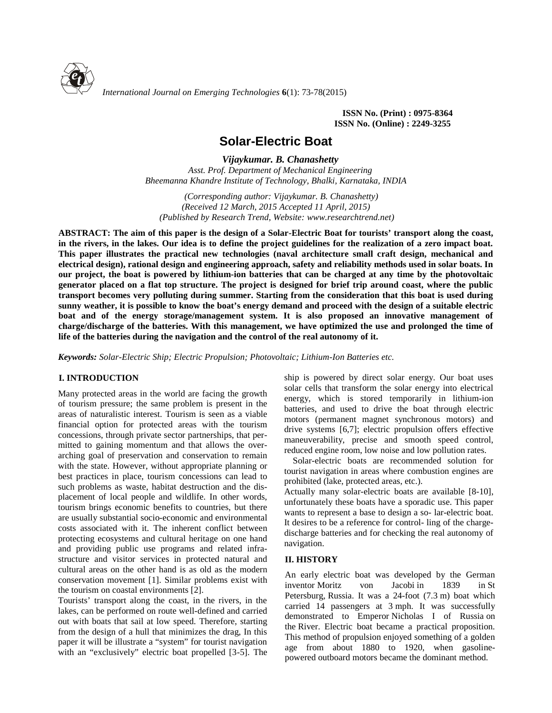

*International Journal on Emerging Technologies* **6**(1): 73-78(2015)

**ISSN No. (Print) : 0975-8364 ISSN No. (Online) : 2249-3255**

# **Solar-Electric Boat**

*Vijaykumar. B. Chanashetty*

*Asst. Prof. Department of Mechanical Engineering Bheemanna Khandre Institute of Technology, Bhalki, Karnataka, INDIA*

*(Corresponding author: Vijaykumar. B. Chanashetty) (Received 12 March, 2015 Accepted 11 April, 2015) (Published by Research Trend, Website: <www.researchtrend.net>)*

**ABSTRACT: The aim of this paper is the design of a Solar-Electric Boat for tourists' transport along the coast, in the rivers, in the lakes. Our idea is to define the project guidelines for the realization of a zero impact boat. This paper illustrates the practical new technologies (naval architecture small craft design, mechanical and electrical design), rational design and engineering approach, safety and reliability methods used in solar boats. In our project, the boat is powered by lithium-ion batteries that can be charged at any time by the photovoltaic generator placed on a flat top structure. The project is designed for brief trip around coast, where the public transport becomes very polluting during summer. Starting from the consideration that this boat is used during sunny weather, it is possible to know the boat's energy demand and proceed with the design of a suitable electric boat and of the energy storage/management system. It is also proposed an innovative management of charge/discharge of the batteries. With this management, we have optimized the use and prolonged the time of life of the batteries during the navigation and the control of the real autonomy of it.**

*Keywords: Solar-Electric Ship; Electric Propulsion; Photovoltaic; Lithium-Ion Batteries etc.*

# **I. INTRODUCTION**

Many protected areas in the world are facing the growth of tourism pressure; the same problem is present in the areas of naturalistic interest. Tourism is seen as a viable financial option for protected areas with the tourism concessions, through private sector partnerships, that per mitted to gaining momentum and that allows the over arching goal of preservation and conservation to remain with the state. However, without appropriate planning or best practices in place, tourism concessions can lead to such problems as waste, habitat destruction and the dis placement of local people and wildlife. In other words, tourism brings economic benefits to countries, but there are usually substantial socio-economic and environmental costs associated with it. The inherent conflict between protecting ecosystems and cultural heritage on one hand and providing public use programs and related infra structure and visitor services in protected natural and cultural areas on the other hand is as old as the modern conservation movement [1]. Similar problems exist with the tourism on coastal environments [2].

Tourists' transport along the coast, in the rivers, in the lakes, can be performed on route well-defined and carried out with boats that sail at low speed. Therefore, starting from the design of a hull that minimizes the drag, In this paper it will be illustrate a "system" for tourist navigation with an "exclusively" electric boat propelled [3-5]. The ship is powered by direct solar energy. Our boat uses solar cells that transform the solar energy into electrical energy, which is stored temporarily in lithium-ion batteries, and used to drive the boat through electric motors (permanent magnet synchronous motors) and drive systems [6,7]; electric propulsion offers effective maneuverability, precise and smooth speed control, reduced engine room, low noise and low pollution rates.

Solar-electric boats are recommended solution for tourist navigation in areas where combustion engines are prohibited (lake, protected areas, etc.).

Actually many solar-electric boats are available [8-10], unfortunately these boats have a sporadic use. This paper wants to represent a base to design a so- lar-electric boat. It desires to be a reference for control- ling of the charge discharge batteries and for checking the real autonomy of navigation.

# **II. HISTORY**

An early electric boat was developed by the German inventor Moritz von Jacobi in 1839 in St Petersburg, Russia. It was a 24-foot (7.3 m) boat which carried 14 passengers at 3 mph. It was successfully demonstrated to Emperor Nicholas I of Russia on the River. Electric boat became a practical proposition. This method of propulsion enjoyed something of a golden age from about 1880 to 1920, when gasoline powered outboard motors became the dominant method.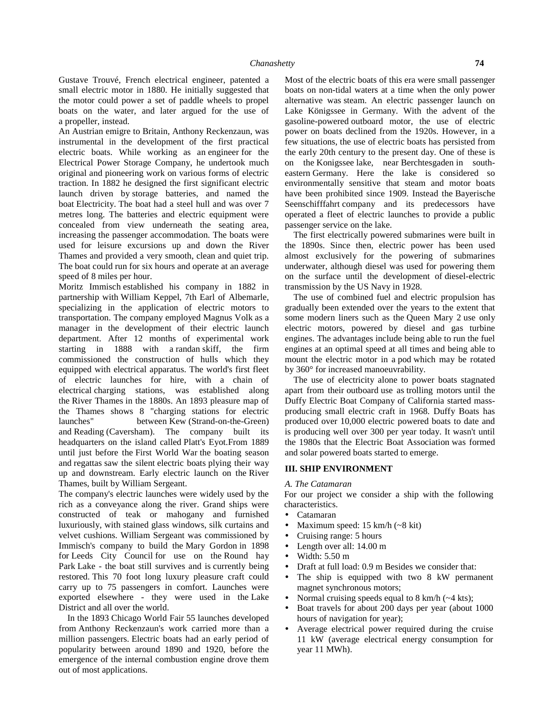Gustave Trouvé, French electrical engineer, patented a small electric motor in 1880. He initially suggested that the motor could power a set of paddle wheels to propel boats on the water, and later argued for the use of a propeller, instead.

An Austrian emigre to Britain, Anthony Reckenzaun, was instrumental in the development of the first practical electric boats. While working as an engineer for the Electrical Power Storage Company, he undertook much original and pioneering work on various forms of electric traction. In 1882 he designed the first significant electric launch driven by storage batteries, and named the boat Electricity. The boat had a steel hull and was over 7 metres long. The batteries and electric equipment were concealed from view underneath the seating area, increasing the passenger accommodation. The boats were used for leisure excursions up and down the River Thames and provided a very smooth, clean and quiet trip. The boat could run for six hours and operate at an average speed of 8 miles per hour.

Moritz Immisch established his company in 1882 in partnership with William Keppel, 7th Earl of Albemarle, specializing in the application of electric motors to transportation. The company employed Magnus Volk as a manager in the development of their electric launch department. After 12 months of experimental work starting in 1888 with a randan skiff, the firm commissioned the construction of hulls which they equipped with electrical apparatus. The world's first fleet of electric launches for hire, with a chain of electrical charging stations, was established along the River Thames in the 1880s. An 1893 pleasure map of the Thames shows 8 "charging stations for electric launches" between Kew (Strand-on-the-Green) and Reading (Caversham). The company built its headquarters on the island called Platt's Eyot.From 1889 until just before the First World War the boating season and regattas saw the silent electric boats plying their way up and downstream. Early electric launch on the River Thames, built by William Sergeant.

The company's electric launches were widely used by the rich as a conveyance along the river. Grand ships were constructed of teak or mahogany and furnished luxuriously, with stained glass windows, silk curtains and velvet cushions. William Sergeant was commissioned by Immisch's company to build the Mary Gordon in 1898 for Leeds City Council for use on the Round hay Park Lake - the boat still survives and is currently being restored. This 70 foot long luxury pleasure craft could carry up to 75 passengers in comfort. Launches were exported elsewhere - they were used in the Lake District and all over the world.

In the 1893 Chicago World Fair 55 launches developed from Anthony Reckenzaun's work carried more than a million passengers. Electric boats had an early period of popularity between around 1890 and 1920, before the emergence of the internal combustion engine drove them out of most applications.

Most of the electric boats of this era were small passenger boats on non-tidal waters at a time when the only power alternative was steam. An electric passenger launch on Lake Königssee in Germany. With the advent of the gasoline-powered outboard motor, the use of electric power on boats declined from the 1920s. However, in a few situations, the use of electric boats has persisted from the early 20th century to the present day. One of these is on the Konigssee lake, near Berchtesgaden in south eastern Germany. Here the lake is considered so environmentally sensitive that steam and motor boats have been prohibited since 1909. Instead the Bayerische Seenschifffahrt company and its predecessors have operated a fleet of electric launches to provide a public passenger service on the lake.

The first electrically powered submarines were built in the 1890s. Since then, electric power has been used almost exclusively for the powering of submarines underwater, although diesel was used for powering them on the surface until the development of diesel-electric transmission by the US Navy in 1928.

The use of combined fuel and electric propulsion has gradually been extended over the years to the extent that some modern liners such as the Queen Mary 2 use only electric motors, powered by diesel and gas turbine engines. The advantages include being able to run the fuel engines at an optimal speed at all times and being able to mount the electric motor in a pod which may be rotated by 360° for increased manoeuvrability.

The use of electricity alone to power boats stagnated apart from their outboard use as trolling motors until the Duffy Electric Boat Company of California started mass producing small electric craft in 1968. Duffy Boats has produced over 10,000 electric powered boats to date and is producing well over 300 per year today. It wasn't until the 1980s that the Electric Boat Association was formed and solar powered boats started to emerge.

## **III. SHIP ENVIRONMENT**

## *A. The Catamaran*

For our project we consider a ship with the following characteristics.

- Catamaran
- Maximum speed: 15 km/h (~8 kit)
- Cruising range: 5 hours
- Length over all: 14.00 m
- Width: 5.50 m
- Draft at full load: 0.9 m Besides we consider that:
- The ship is equipped with two 8 kW permanent magnet synchronous motors;
- Normal cruising speeds equal to 8 km/h ( $\sim$  4 kts);
- Boat travels for about 200 days per year (about 1000 hours of navigation for year);
- Average electrical power required during the cruise 11 kW (average electrical energy consumption for year 11 MWh).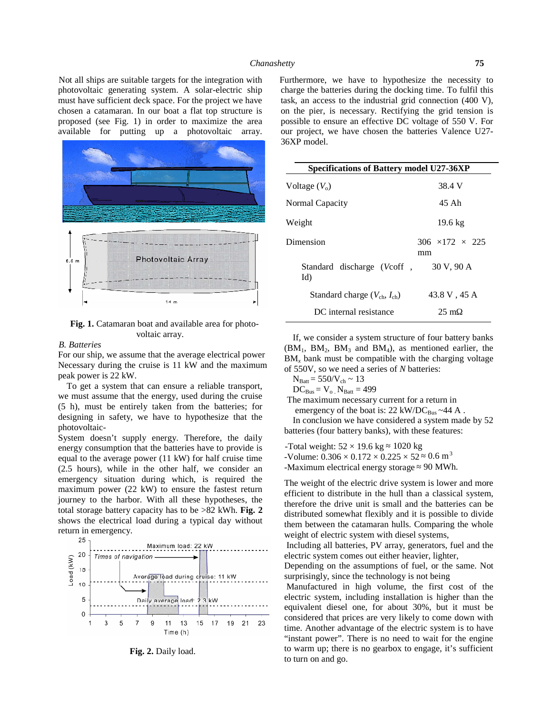Not all ships are suitable targets for the integration with photovoltaic generating system. A solar-electric ship must have sufficient deck space. For the project we have chosen a catamaran. In our boat a flat top structure is proposed (see Fig. 1) in order to maximize the area available for putting up a photovoltaic array.



**Fig. 1.** Catamaran boat and available area for photo voltaic array.

## *B. Batteries*

For our ship, we assume that the average electrical power Necessary during the cruise is 11 kW and the maximum peak power is 22 kW.

To get a system that can ensure a reliable transport, we must assume that the energy, used during the cruise (5 h), must be entirely taken from the batteries; for designing in safety, we have to hypothesize that the photovoltaic-

System doesn't supply energy. Therefore, the daily energy consumption that the batteries have to provide is equal to the average power (11 kW) for half cruise time (2.5 hours), while in the other half, we consider an emergency situation during which, is required the maximum power (22 kW) to ensure the fastest return journey to the harbor. With all these hypotheses, the total storage battery capacity has to be >82 kWh. **Fig. 2** shows the electrical load during a typical day without return in emergency.<br> $25 -$ 



**Fig. 2.** Daily load.

Furthermore, we have to hypothesize the necessity to charge the batteries during the docking time. To fulfil this task, an access to the industrial grid connection (400 V), on the pier, is necessary. Rectifying the grid tension is possible to ensure an effective DC voltage of 550 V. For our project, we have chosen the batteries Valence U27- 36XP model.

| <b>Specifications of Battery model U27-36XP</b> |                                   |
|-------------------------------------------------|-----------------------------------|
| Voltage $(V_0)$                                 | 38.4 V                            |
| Normal Capacity                                 | 45 Ah                             |
| Weight                                          | $19.6 \text{ kg}$                 |
| Dimension                                       | $306 \times 172 \times 225$<br>mm |
| Standard discharge (Vcoff, 30 V, 90 A<br>Id)    |                                   |
| Standard charge $(V_{ch}, I_{ch})$              | 43.8 V, 45 A                      |
| DC internal resistance                          | $25 \text{ m}$                    |

If, we consider a system structure of four battery banks  $(BM_1, BM_2, BM_3$  and  $BM_4$ ), as mentioned earlier, the BM<sub>x</sub> bank must be compatible with the charging voltage of 550V, so we need a series of *N* batteries:

 $N_{\text{Batt}} = 550/V_{\text{ch}} \sim 13$ 

 $DC_{Bus} = V_o$ .  $N_{Batt} = 499$ 

The maximum necessary current for a return in

emergency of the boat is:  $22 \text{ kW/DC}_{\text{Bus}} \sim 44 \text{ A}.$ In conclusion we have considered a system made by 52

batteries (four battery banks), with these features:

-Total weight:  $52 \times 19.6$  kg  $1020$  kg -Volume:  $0.306 \times 0.172 \times 0.225 \times 52$  0.6 m<sup>3</sup> -Maximum electrical energy storage 90 MWh.

The weight of the electric drive system is lower and more efficient to distribute in the hull than a classical system, therefore the drive unit is small and the batteries can be distributed somewhat flexibly and it is possible to divide them between the catamaran hulls. Comparing the whole weight of electric system with diesel systems,

Including all batteries, PV array, generators, fuel and the electric system comes out either heavier, lighter,

Depending on the assumptions of fuel, or the same. Not surprisingly, since the technology is not being

Manufactured in high volume, the first cost of the electric system, including installation is higher than the equivalent diesel one, for about 30%, but it must be considered that prices are very likely to come down with time. Another advantage of the electric system is to have "instant power". There is no need to wait for the engine to warm up; there is no gearbox to engage, it's sufficient to turn on and go.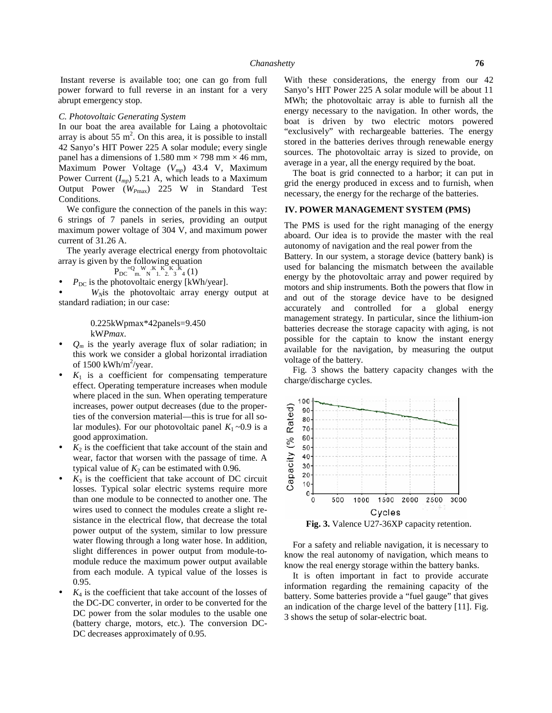Instant reverse is available too; one can go from full power forward to full reverse in an instant for a very abrupt emergency stop.

#### *C. Photovoltaic Generating System*

In our boat the area available for Laing a photovoltaic array is about 55 m<sup>2</sup>. On this area, it is possible to install 42 Sanyo's HIT Power 225 A solar module; every single panel has a dimensions of 1.580 mm  $\times$  798 mm  $\times$  46 mm, Maximum Power Voltage (*Vmp*) 43.4 V, Maximum Power Current (*Imp*) 5.21 A, which leads to a Maximum Output Power (*WP*max) 225 W in Standard Test Conditions.

We configure the connection of the panels in this way: 6 strings of 7 panels in series, providing an output maximum power voltage of 304 V, and maximum power current of 31.26 A.

The yearly average electrical energy from photovoltaic array is given by the following equation

 $P_{\text{DC}} = Q_{\text{m}}$  W  $_{\text{N}}$  K  $_{\text{L}}$  K  $_{\text{N}}$  K  $_{\text{A}}$  K  $_{\text{A}}$  (1)

 $P_{\text{DC}}$  is the photovoltaic energy [kWh/year].

 *WN*is the photovoltaic array energy output at standard radiation; in our case:

> 0.225kWpmax\*42panels=9.450 kW*Pmax*.

- $Q_m$  is the yearly average flux of solar radiation; in this work we consider a global horizontal irradiation of  $1500 \text{ kWh/m}^2/\text{year}$ .
- $K_1$  is a coefficient for compensating temperature effect. Operating temperature increases when module where placed in the sun. When operating temperature<br>increases, power output decreases (due to the proper-<br>ties of the conversion material—this is true for all soincreases, power output decreases (due to the properties of the conversion material—this is true for all solar modules). For our photovoltaic panel  $K_1 \sim 0.9$  is a good approximation.
- good approximation.<br> *K*<sub>2</sub> is the coefficient that take account of the stain and<br>
wear, factor that worsen with the passage of time. A<br>
typical value of *K*<sub>2</sub> can be estimated with 0.96.<br> *K*<sub>3</sub> is the coefficient that wear, factor that worsen with the passage of time. A<br>typical value of  $K_0$  can be estimated with 0.96 typical value of  $K_2$  can be estimated with 0.96.
- $K_3$  is the coefficient that take account of DC circuit losses. Typical solar electric systems require more than one module to be connected to another one. The wires used to connect the modules create a slight re sistance in the electrical flow, that decrease the total power output of the system, similar to low pressure water flowing through a long water hose. In addition, slight differences in power output from module-to module reduce the maximum power output available from each module. A typical value of the losses is 0.95.
- $K_4$  is the coefficient that take account of the losses of the DC-DC converter, in order to be converted for the DC power from the solar modules to the usable one (battery charge, motors, etc.). The conversion DC- DC decreases approximately of 0.95.

With these considerations, the energy from our 42 Sanyo's HIT Power 225 A solar module will be about 11 MWh; the photovoltaic array is able to furnish all the energy necessary to the navigation. In other words, the boat is driven by two electric motors powered "exclusively" with rechargeable batteries. The energy stored in the batteries derives through renewable energy sources. The photovoltaic array is sized to provide, on average in a year, all the energy required by the boat.

The boat is grid connected to a harbor; it can put in grid the energy produced in excess and to furnish, when necessary, the energy for the recharge of the batteries.

# **IV. POWER MANAGEMENT SYSTEM (PMS)**

The PMS is used for the right managing of the energy aboard. Our idea is to provide the master with the real autonomy of navigation and the real power from the Battery. In our system, a storage device (battery bank) is used for balancing the mismatch between the available energy by the photovoltaic array and power required by motors and ship instruments. Both the powers that flow in and out of the storage device have to be designed accurately and controlled for a global energy management strategy. In particular, since the lithium-ion batteries decrease the storage capacity with aging, is not possible for the captain to know the instant energy available for the navigation, by measuring the output voltage of the battery.

Fig. 3 shows the battery capacity changes with the charge/discharge cycles.



**Fig. 3.** Valence U27-36XP capacity retention.

For a safety and reliable navigation, it is necessary to know the real autonomy of navigation, which means to know the real energy storage within the battery banks.

It is often important in fact to provide accurate information regarding the remaining capacity of the battery. Some batteries provide a "fuel gauge" that gives an indication of the charge level of the battery [11]. Fig. 3 shows the setup of solar-electric boat.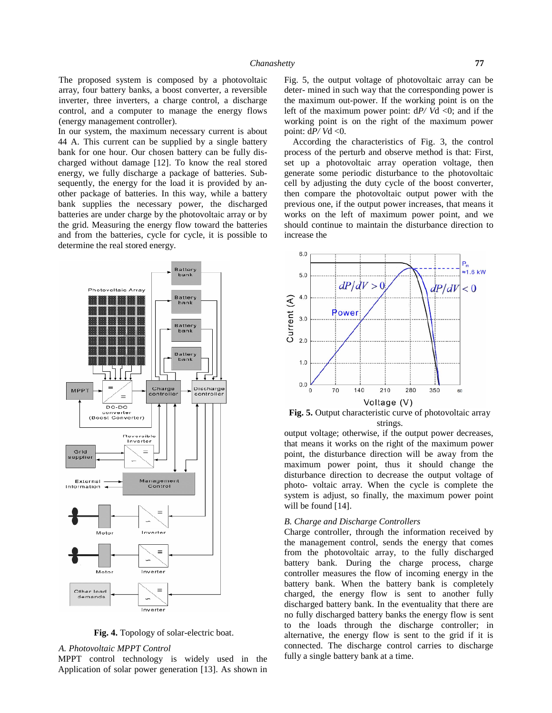The proposed system is composed by a photovoltaic array, four battery banks, a boost converter, a reversible inverter, three inverters, a charge control, a discharge control, and a computer to manage the energy flows (energy management controller).

In our system, the maximum necessary current is about 44 A. This current can be supplied by a single battery bank for one hour. Our chosen battery can be fully dis charged without damage [12]. To know the real stored energy, we fully discharge a package of batteries. Sub sequently, the energy for the load it is provided by an other package of batteries. In this way, while a battery bank supplies the necessary power, the discharged batteries are under charge by the photovoltaic array or by the grid. Measuring the energy flow toward the batteries and from the batteries, cycle for cycle, it is possible to determine the real stored energy.



**Fig. 4.** Topology of solar-electric boat.

## *A. Photovoltaic MPPT Control*

MPPT control technology is widely used in the Application of solar power generation [13]. As shown in Fig. 5, the output voltage of photovoltaic array can be deter- mined in such way that the corresponding power is the maximum out-power. If the working point is on the left of the maximum power point: d*P/ V*d <0; and if the working point is on the right of the maximum power point:  $dP/Vd < 0$ .

According the characteristics of Fig. 3, the control process of the perturb and observe method is that: First, set up a photovoltaic array operation voltage, then generate some periodic disturbance to the photovoltaic cell by adjusting the duty cycle of the boost converter, then compare the photovoltaic output power with the previous one, if the output power increases, that means it works on the left of maximum power point, and we should continue to maintain the disturbance direction to increase the



**Fig. 5.** Output characteristic curve of photovoltaic array strings.

output voltage; otherwise, if the output power decreases, that means it works on the right of the maximum power point, the disturbance direction will be away from the maximum power point, thus it should change the disturbance direction to decrease the output voltage of photo- voltaic array. When the cycle is complete the system is adjust, so finally, the maximum power point will be found [14].

## *B. Charge and Discharge Controllers*

Charge controller, through the information received by the management control, sends the energy that comes from the photovoltaic array, to the fully discharged battery bank. During the charge process, charge controller measures the flow of incoming energy in the battery bank. When the battery bank is completely charged, the energy flow is sent to another fully discharged battery bank. In the eventuality that there are no fully discharged battery banks the energy flow is sent to the loads through the discharge controller; in alternative, the energy flow is sent to the grid if it is connected. The discharge control carries to discharge fully a single battery bank at a time.